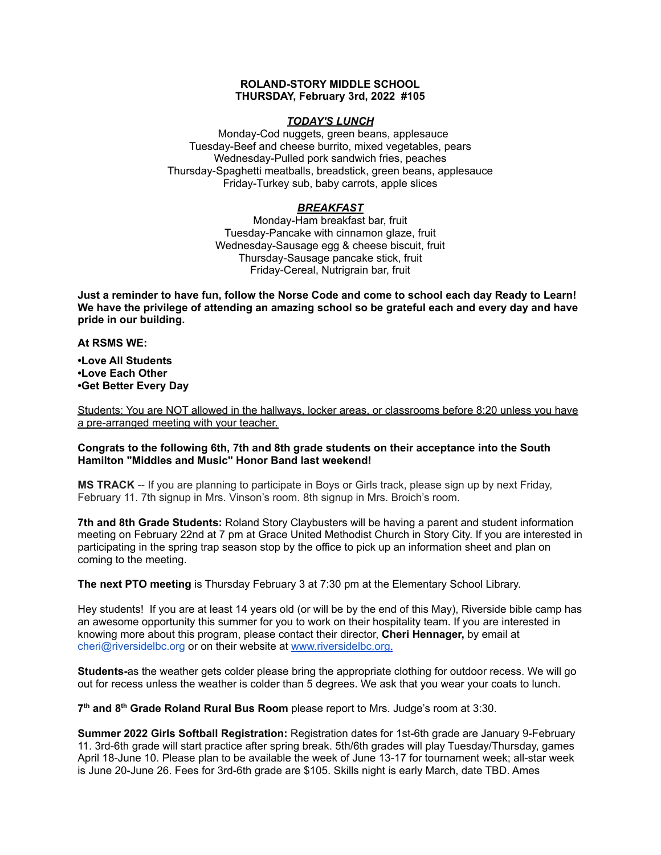#### **ROLAND-STORY MIDDLE SCHOOL THURSDAY, February 3rd, 2022 #105**

## *TODAY'S LUNCH*

Monday-Cod nuggets, green beans, applesauce Tuesday-Beef and cheese burrito, mixed vegetables, pears Wednesday-Pulled pork sandwich fries, peaches Thursday-Spaghetti meatballs, breadstick, green beans, applesauce Friday-Turkey sub, baby carrots, apple slices

# *BREAKFAST*

Monday-Ham breakfast bar, fruit Tuesday-Pancake with cinnamon glaze, fruit Wednesday-Sausage egg & cheese biscuit, fruit Thursday-Sausage pancake stick, fruit Friday-Cereal, Nutrigrain bar, fruit

Just a reminder to have fun, follow the Norse Code and come to school each day Ready to Learn! **We have the privilege of attending an amazing school so be grateful each and every day and have pride in our building.**

## **At RSMS WE:**

**•Love All Students •Love Each Other •Get Better Every Day**

Students: You are NOT allowed in the hallways, locker areas, or classrooms before 8:20 unless you have a pre-arranged meeting with your teacher.

## **Congrats to the following 6th, 7th and 8th grade students on their acceptance into the South Hamilton "Middles and Music" Honor Band last weekend!**

**MS TRACK** -- If you are planning to participate in Boys or Girls track, please sign up by next Friday, February 11. 7th signup in Mrs. Vinson's room. 8th signup in Mrs. Broich's room.

**7th and 8th Grade Students:** Roland Story Claybusters will be having a parent and student information meeting on February 22nd at 7 pm at Grace United Methodist Church in Story City. If you are interested in participating in the spring trap season stop by the office to pick up an information sheet and plan on coming to the meeting.

**The next PTO meeting** is Thursday February 3 at 7:30 pm at the Elementary School Library.

Hey students! If you are at least 14 years old (or will be by the end of this May), Riverside bible camp has an awesome opportunity this summer for you to work on their hospitality team. If you are interested in knowing more about this program, please contact their director, **Cheri Hennager,** by email at cheri@riversidelbc.org or on their website at [www.riversidelbc.org.](http://www.riversidelbc.org/)

**Students-**as the weather gets colder please bring the appropriate clothing for outdoor recess. We will go out for recess unless the weather is colder than 5 degrees. We ask that you wear your coats to lunch.

**7 th and 8 th Grade Roland Rural Bus Room** please report to Mrs. Judge's room at 3:30.

**Summer 2022 Girls Softball Registration:** Registration dates for 1st-6th grade are January 9-February 11. 3rd-6th grade will start practice after spring break. 5th/6th grades will play Tuesday/Thursday, games April 18-June 10. Please plan to be available the week of June 13-17 for tournament week; all-star week is June 20-June 26. Fees for 3rd-6th grade are \$105. Skills night is early March, date TBD. Ames